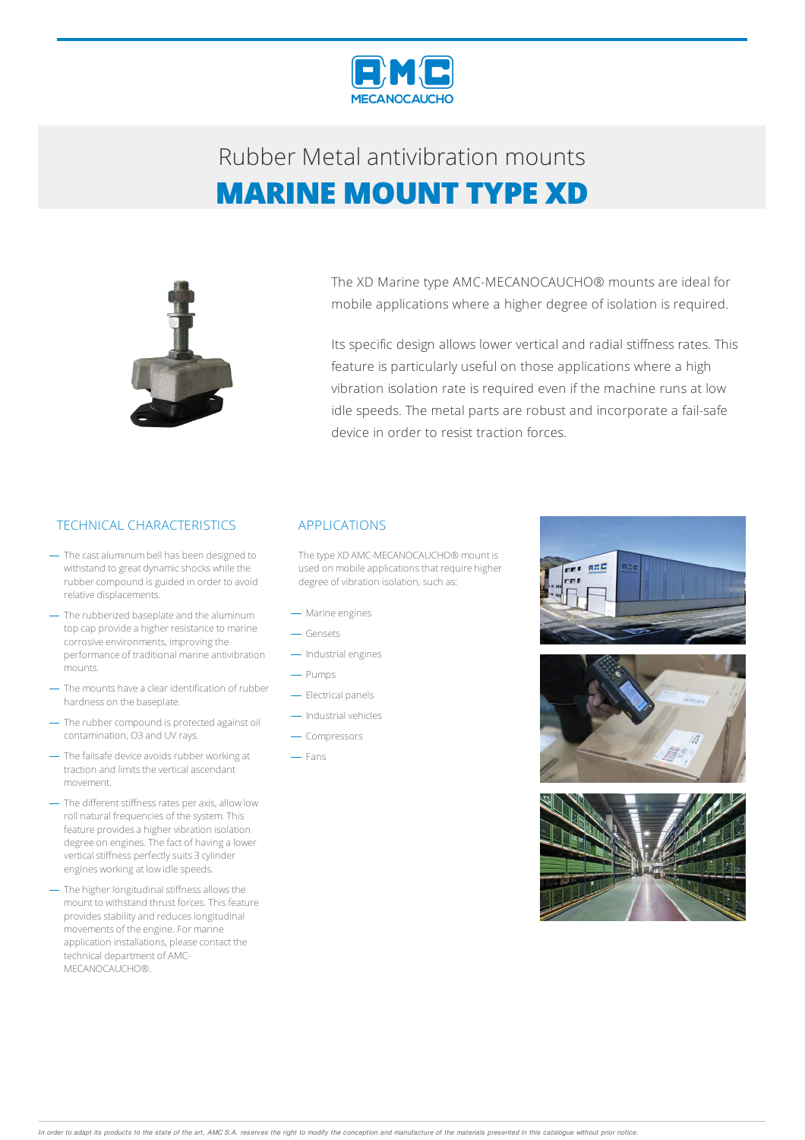

## Rubber Metalantivibration mounts **MARINE MOUNT TYPE XD**



The XD Marine type AMC-MECANOCAUCHO® mounts are ideal for mobile applications where a higher degree of isolation is required.

Its specific design allows lower vertical and radial stiffness rates. This feature is particularly useful on those applications where a high vibration isolation rate is required even if the machine runs at low idle speeds. The metal parts are robust and incorporate a fail-safe device in order to resist traction forces.

#### TECHNICAL CHARACTERISTICS APPLICATIONS

- The cast aluminum bell has been designed to withstand to great dynamic shocks while the rubber compound is guided in order to avoid relative displacements.
- The rubberized baseplate and the aluminum top cap provide a higher resistance to marine corrosive environments, improving the performance of traditional marine antivibration mounts.
- The mounts have a clear identification of rubber hardness on the baseplate.
- The rubber compound is protected against oil contamination, O3 and UV rays.
- The failsafe device avoids rubber working at traction and limits the vertical ascendant movement.
- The different stiffness rates per axis, allow low roll natural frequencies of the system.This feature provides a higher vibration isolation degree on engines. The fact of having a lower vertical stiffness perfectly suits 3 cylinder engines working at low idle speeds.
- The higher longitudinal stiffness allows the mount to withstand thrust forces. This feature provides stability and reduces longitudinal movements of the engine. For marine application installations, please contact the technical department of AMC-MECANOCAUCHO®.

The type XD AMC-MECANOCAUCHO® mount is used on mobile applications that require higher degree of vibration isolation, such as:

- Marine engines
- Gensets
- Industrial engines
- Pumps
- Electrical panels
- $-$  Industrial vehicles
- Compressors
- Fans





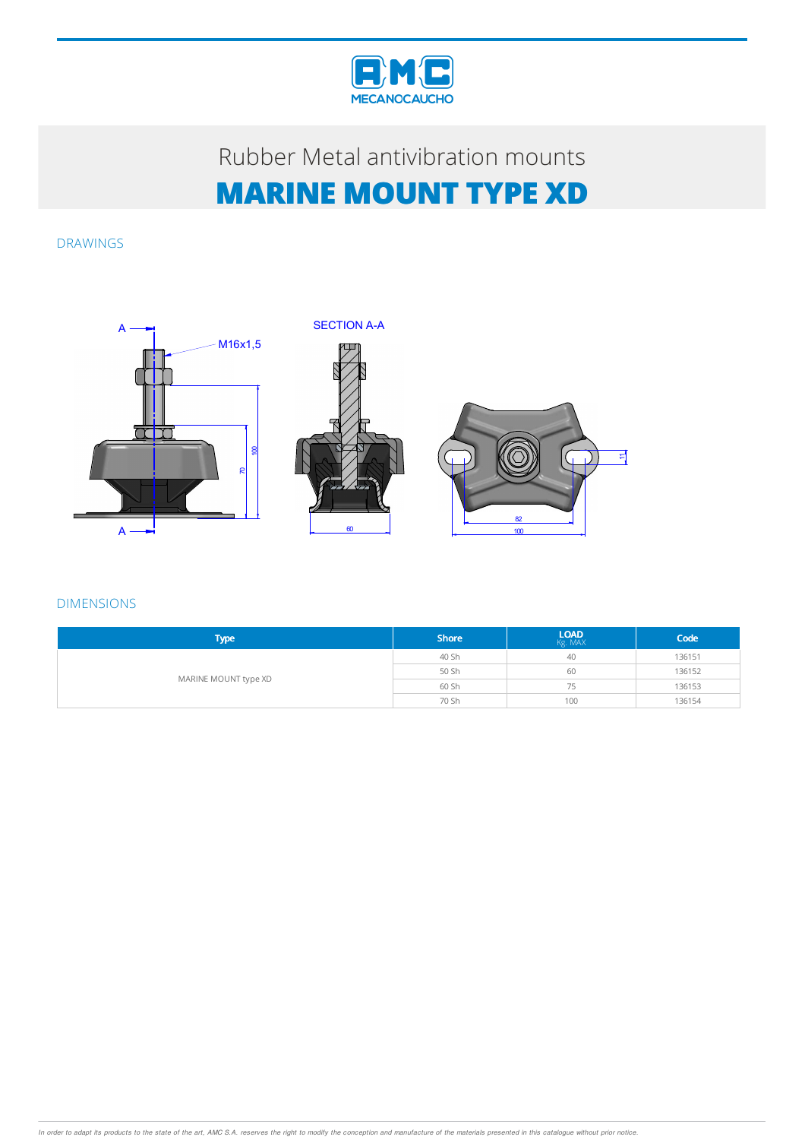

## Rubber Metal antivibration mounts **MARINE MOUNT TYPE XD**

DRAWINGS



DIMENSIONS

| <b>Type</b>          | <b>Shore</b> | $LOAD$ $Kg. MAX$ | Code   |
|----------------------|--------------|------------------|--------|
| MARINE MOUNT type XD | 40 Sh        | 40               | 136151 |
|                      | 50 Sh        | 60               | 136152 |
|                      | 60 Sh        | 75               | 136153 |
|                      | 70 Sh        | 100              | 136154 |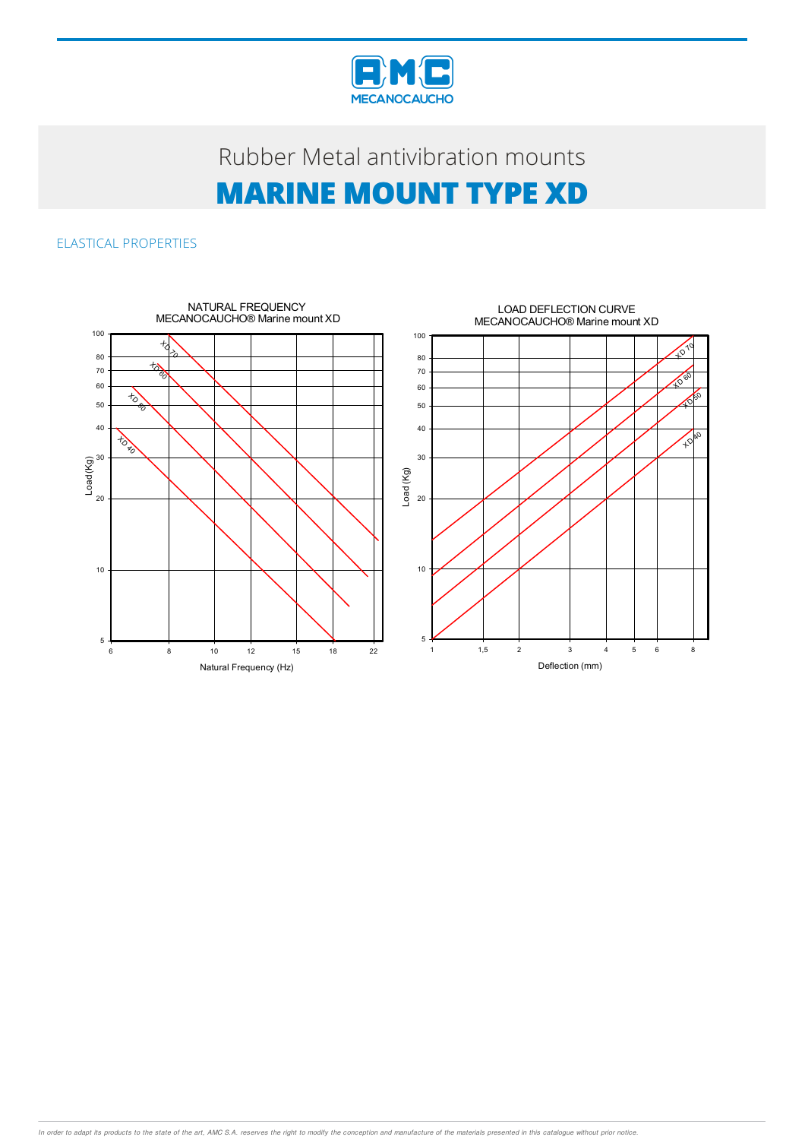

# Rubber Metal antivibration mounts **MARINE MOUNT TYPE XD**

### ELASTICAL PROPERTIES